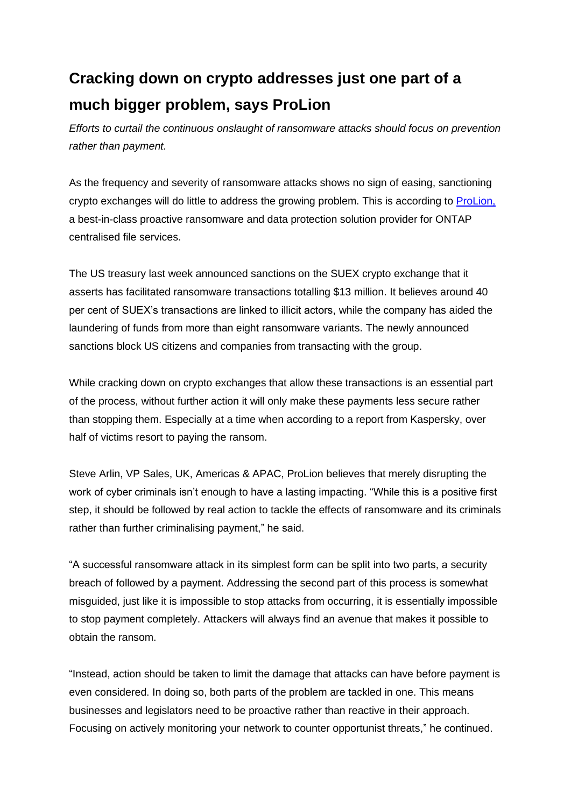## **Cracking down on crypto addresses just one part of a much bigger problem, says ProLion**

*Efforts to curtail the continuous onslaught of ransomware attacks should focus on prevention rather than payment.*

As the frequency and severity of ransomware attacks shows no sign of easing, sanctioning crypto exchanges will do little to address the growing problem. This is according to [ProLion,](https://prolion.com/) a best-in-class proactive ransomware and data protection solution provider for ONTAP centralised file services.

The US treasury last week announced sanctions on the SUEX crypto exchange that it asserts has facilitated ransomware transactions totalling \$13 million. It believes around 40 per cent of SUEX's transactions are linked to illicit actors, while the company has aided the laundering of funds from more than eight ransomware variants. The newly announced sanctions block US citizens and companies from transacting with the group.

While cracking down on crypto exchanges that allow these transactions is an essential part of the process, without further action it will only make these payments less secure rather than stopping them. Especially at a time when according to a report from Kaspersky, over half of victims resort to paying the ransom.

Steve Arlin, VP Sales, UK, Americas & APAC, ProLion believes that merely disrupting the work of cyber criminals isn't enough to have a lasting impacting. "While this is a positive first step, it should be followed by real action to tackle the effects of ransomware and its criminals rather than further criminalising payment," he said.

"A successful ransomware attack in its simplest form can be split into two parts, a security breach of followed by a payment. Addressing the second part of this process is somewhat misguided, just like it is impossible to stop attacks from occurring, it is essentially impossible to stop payment completely. Attackers will always find an avenue that makes it possible to obtain the ransom.

"Instead, action should be taken to limit the damage that attacks can have before payment is even considered. In doing so, both parts of the problem are tackled in one. This means businesses and legislators need to be proactive rather than reactive in their approach. Focusing on actively monitoring your network to counter opportunist threats," he continued.